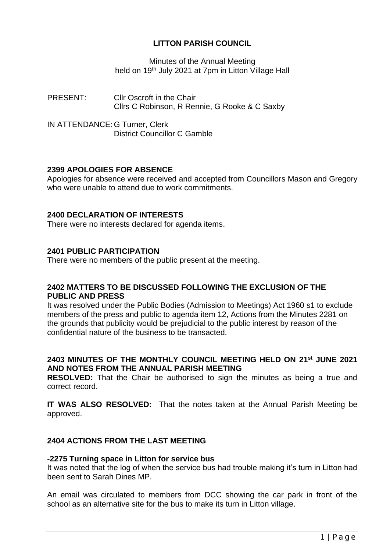# **LITTON PARISH COUNCIL**

Minutes of the Annual Meeting held on 19<sup>th</sup> July 2021 at 7pm in Litton Village Hall

PRESENT: Cllr Oscroft in the Chair Cllrs C Robinson, R Rennie, G Rooke & C Saxby

IN ATTENDANCE: G Turner, Clerk District Councillor C Gamble

# **2399 APOLOGIES FOR ABSENCE**

Apologies for absence were received and accepted from Councillors Mason and Gregory who were unable to attend due to work commitments.

## **2400 DECLARATION OF INTERESTS**

There were no interests declared for agenda items.

## **2401 PUBLIC PARTICIPATION**

There were no members of the public present at the meeting.

## **2402 MATTERS TO BE DISCUSSED FOLLOWING THE EXCLUSION OF THE PUBLIC AND PRESS**

It was resolved under the Public Bodies (Admission to Meetings) Act 1960 s1 to exclude members of the press and public to agenda item 12, Actions from the Minutes 2281 on the grounds that publicity would be prejudicial to the public interest by reason of the confidential nature of the business to be transacted.

# **2403 MINUTES OF THE MONTHLY COUNCIL MEETING HELD ON 21st JUNE 2021 AND NOTES FROM THE ANNUAL PARISH MEETING**

**RESOLVED:** That the Chair be authorised to sign the minutes as being a true and correct record.

**IT WAS ALSO RESOLVED:** That the notes taken at the Annual Parish Meeting be approved.

# **2404 ACTIONS FROM THE LAST MEETING**

#### **-2275 Turning space in Litton for service bus**

It was noted that the log of when the service bus had trouble making it's turn in Litton had been sent to Sarah Dines MP.

An email was circulated to members from DCC showing the car park in front of the school as an alternative site for the bus to make its turn in Litton village.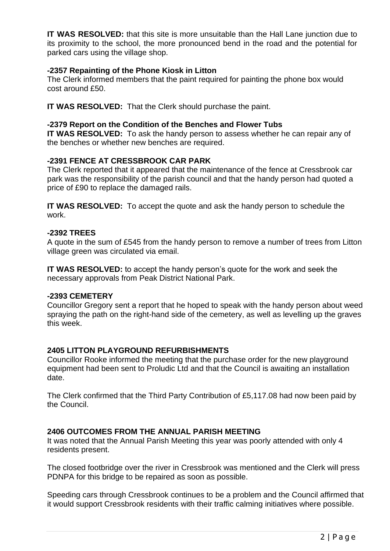**IT WAS RESOLVED:** that this site is more unsuitable than the Hall Lane junction due to its proximity to the school, the more pronounced bend in the road and the potential for parked cars using the village shop.

#### **-2357 Repainting of the Phone Kiosk in Litton**

The Clerk informed members that the paint required for painting the phone box would cost around £50.

**IT WAS RESOLVED:** That the Clerk should purchase the paint.

#### **-2379 Report on the Condition of the Benches and Flower Tubs**

**IT WAS RESOLVED:** To ask the handy person to assess whether he can repair any of the benches or whether new benches are required.

#### **-2391 FENCE AT CRESSBROOK CAR PARK**

The Clerk reported that it appeared that the maintenance of the fence at Cressbrook car park was the responsibility of the parish council and that the handy person had quoted a price of £90 to replace the damaged rails.

**IT WAS RESOLVED:** To accept the quote and ask the handy person to schedule the work.

#### **-2392 TREES**

A quote in the sum of £545 from the handy person to remove a number of trees from Litton village green was circulated via email.

**IT WAS RESOLVED:** to accept the handy person's quote for the work and seek the necessary approvals from Peak District National Park.

#### **-2393 CEMETERY**

Councillor Gregory sent a report that he hoped to speak with the handy person about weed spraying the path on the right-hand side of the cemetery, as well as levelling up the graves this week.

#### **2405 LITTON PLAYGROUND REFURBISHMENTS**

Councillor Rooke informed the meeting that the purchase order for the new playground equipment had been sent to Proludic Ltd and that the Council is awaiting an installation date.

The Clerk confirmed that the Third Party Contribution of £5,117.08 had now been paid by the Council.

## **2406 OUTCOMES FROM THE ANNUAL PARISH MEETING**

It was noted that the Annual Parish Meeting this year was poorly attended with only 4 residents present.

The closed footbridge over the river in Cressbrook was mentioned and the Clerk will press PDNPA for this bridge to be repaired as soon as possible.

Speeding cars through Cressbrook continues to be a problem and the Council affirmed that it would support Cressbrook residents with their traffic calming initiatives where possible.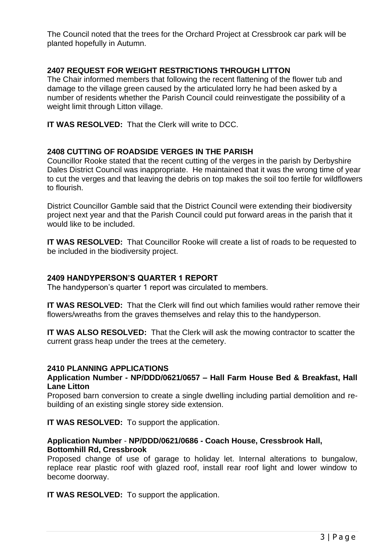The Council noted that the trees for the Orchard Project at Cressbrook car park will be planted hopefully in Autumn.

# **2407 REQUEST FOR WEIGHT RESTRICTIONS THROUGH LITTON**

The Chair informed members that following the recent flattening of the flower tub and damage to the village green caused by the articulated lorry he had been asked by a number of residents whether the Parish Council could reinvestigate the possibility of a weight limit through Litton village.

**IT WAS RESOLVED:** That the Clerk will write to DCC.

## **2408 CUTTING OF ROADSIDE VERGES IN THE PARISH**

Councillor Rooke stated that the recent cutting of the verges in the parish by Derbyshire Dales District Council was inappropriate. He maintained that it was the wrong time of year to cut the verges and that leaving the debris on top makes the soil too fertile for wildflowers to flourish.

District Councillor Gamble said that the District Council were extending their biodiversity project next year and that the Parish Council could put forward areas in the parish that it would like to be included.

**IT WAS RESOLVED:** That Councillor Rooke will create a list of roads to be requested to be included in the biodiversity project.

#### **2409 HANDYPERSON'S QUARTER 1 REPORT**

The handyperson's quarter 1 report was circulated to members.

**IT WAS RESOLVED:** That the Clerk will find out which families would rather remove their flowers/wreaths from the graves themselves and relay this to the handyperson.

**IT WAS ALSO RESOLVED:** That the Clerk will ask the mowing contractor to scatter the current grass heap under the trees at the cemetery.

#### **2410 PLANNING APPLICATIONS**

#### **Application Number - NP/DDD/0621/0657 – Hall Farm House Bed & Breakfast, Hall Lane Litton**

Proposed barn conversion to create a single dwelling including partial demolition and rebuilding of an existing single storey side extension.

**IT WAS RESOLVED:** To support the application.

## **Application Number** - **NP/DDD/0621/0686 - Coach House, Cressbrook Hall, Bottomhill Rd, Cressbrook**

Proposed change of use of garage to holiday let. Internal alterations to bungalow, replace rear plastic roof with glazed roof, install rear roof light and lower window to become doorway.

**IT WAS RESOLVED:** To support the application.